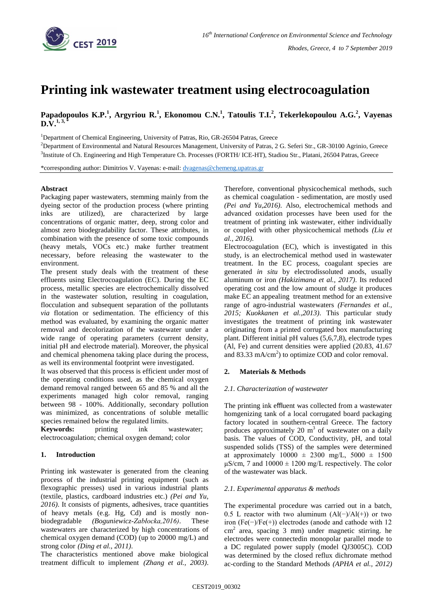

# **Printing ink wastewater treatment using electrocoagulation**

**Papadopoulos K.P.<sup>1</sup> , Argyriou R.<sup>1</sup> , Ekonomou C.N.<sup>1</sup> , Tatoulis T.I.<sup>2</sup> , Tekerlekopoulou A.G.<sup>2</sup> , Vayenas**   $D.V.<sup>1, 3</sup>$ 

<sup>1</sup>Department of Chemical Engineering, University of Patras, Rio, GR-26504 Patras, Greece

<sup>2</sup>Department of Environmental and Natural Resources Management, University of Patras, 2 G. Seferi Str., GR-30100 Agrinio, Greece <sup>3</sup>Institute of Ch. Engineering and High Temperature Ch. Processes (FORTH/ ICE-HT), Stadiou Str., Platani, 26504 Patras, Greece

\*corresponding author: Dimitrios V. Vayenas: e-mail: [dvagenas@chemeng.upatras.gr](mailto:dvagenas@chemeng.upatras.gr)

### **Abstract**

Packaging paper wastewaters, stemming mainly from the dyeing sector of the production process (where printing inks are utilized), are characterized by large concentrations of organic matter, deep, strong color and almost zero biodegradability factor. These attributes, in combination with the presence of some toxic compounds (heavy metals, VOCs etc.) make further treatment necessary, before releasing the wastewater to the environment.

The present study deals with the treatment of these effluents using Electrocoagulation (EC). During the EC process, metallic species are electrochemically dissolved in the wastewater solution, resulting in coagulation, flocculation and subsequent separation of the pollutants *via* flotation or sedimentation. The efficiency of this method was evaluated, by examining the organic matter removal and decolorization of the wastewater under a wide range of operating parameters (current density, initial pH and electrode material). Moreover, the physical and chemical phenomena taking place during the process, as well its environmental footprint were investigated.

It was observed that this process is efficient under most of the operating conditions used, as the chemical oxygen demand removal ranged between 65 and 85 % and all the experiments managed high color removal, ranging between 98 - 100%. Additionally, secondary pollution was minimized, as concentrations of soluble metallic species remained below the regulated limits.

**Keywords:** printing ink wastewater; electrocoagulation; chemical oxygen demand; color

## **1. Introduction**

Printing ink wastewater is generated from the cleaning process of the industrial printing equipment (such as flexographic presses) used in various industrial plants (textile, plastics, cardboard industries etc.) *(Pei and Yu, 2016)*. It consists of pigments, adhesives, trace quantities of heavy metals (e.g. Hg, Cd) and is mostly nonbiodegradable *(Boguniewicz-Zabłocka,2016)*. These wastewaters are characterized by high concentrations of chemical oxygen demand (COD) (up to 20000 mg/L) and strong color *(Ding et al., 2011)*.

The characteristics mentioned above make biological treatment difficult to implement *(Zhang et al., 2003)*. Therefore, conventional physicochemical methods, such as chemical coagulation - sedimentation, are mostly used *(Pei and Yu,2016).* Also, electrochemical methods and advanced oxidation processes have been used for the treatment of printing ink wastewater, either individually or coupled with other physicochemical methods *(Liu et al., 2016).*

Electrocoagulation (EC), which is investigated in this study, is an electrochemical method used in wastewater treatment. In the EC process, coagulant species are generated *in situ* by electrodissoluted anods, usually aluminum or iron *(Hakizimana et al., 2017)*. Its reduced operating cost and the low amount of sludge it produces make EC an appealing treatment method for an extensive range of agro-industrial wastewaters *(Fernandes et al., 2015; Kuokkanen et al.,2013)*. This particular study investigates the treatment of printing ink wastewater originating from a printed corrugated box manufacturing plant. Different initial pH values (5,6,7,8), electrode types (Al, Fe) and current densities were applied (20.83, 41.67 and 83.33 mA/cm<sup>2</sup>) to optimize COD and color removal.

### **2. Materials & Methods**

### *2.1. Characterization of wastewater*

The printing ink effluent was collected from a wastewater homgenizing tank of a local corrugated board packaging factory located in southern-central Greece. The factory produces approximately 20  $m<sup>3</sup>$  of wastewater on a daily basis. The values of COD, Conductivity, pH, and total suspended solids (TSS) of the samples were determined at approximately  $10000 \pm 2300$  mg/L,  $5000 \pm 1500$  $\mu$ S/cm, 7 and 10000  $\pm$  1200 mg/L respectively. The color of the wastewater was black.

### *2.1. Experimental apparatus & methods*

The experimental procedure was carried out in a batch, 0.5 L reactor with two aluminum  $(AI(-)/AI(+))$  or two iron (Fe(−)/Fe(+)) electrodes (anode and cathode with 12 cm<sup>2</sup> area, spacing 3 mm) under magnetic stirring. he electrodes were connectedin monopolar parallel mode to a DC regulated power supply (model QJ3005C). COD was determined by the closed reflux dichromate method ac-cording to the Standard Methods *(APHA et al., 2012)*